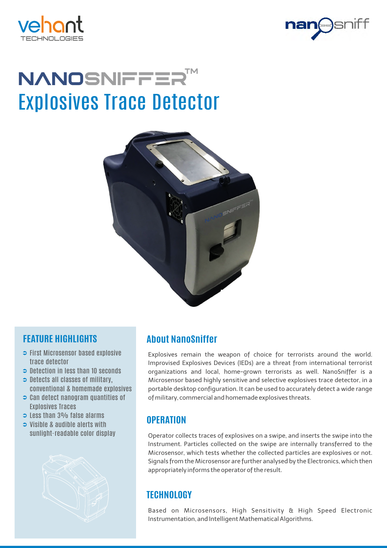



# Explosives Trace Detector NANOSNIFFER<sup>T</sup>



### **FEATURE HIGHLIGHTS**

- $\Rightarrow$  First Microsensor based explosive trace detector
- $\supset$  Detection in less than 10 seconds
- $\Rightarrow$  Detects all classes of military, conventional & homemade explosives
- $\supset$  Can detect nanogram quantities of Explosives Traces
- $\Rightarrow$  Less than 3% false alarms
- Visible & audible alerts with sunlight-readable color display



# **About NanoSniffer**

Explosives remain the weapon of choice for terrorists around the world. Improvised Explosives Devices (IEDs) are a threat from international terrorist organizations and local, home-grown terrorists as well. NanoSniffer is a Microsensor based highly sensitive and selective explosives trace detector, in a portable desktop configuration. It can be used to accurately detect a wide range of military, commercial and homemade explosives threats.

### **OPERATION**

Operator collects traces of explosives on a swipe, and inserts the swipe into the Instrument. Particles collected on the swipe are internally transferred to the Microsensor, which tests whether the collected particles are explosives or not. Signals from the Microsensor are further analysed by the Electronics, which then appropriately informs the operator of the result.

## **TECHNOLOGY**

Based on Microsensors, High Sensitivity & High Speed Electronic Instrumentation, and Intelligent Mathematical Algorithms.